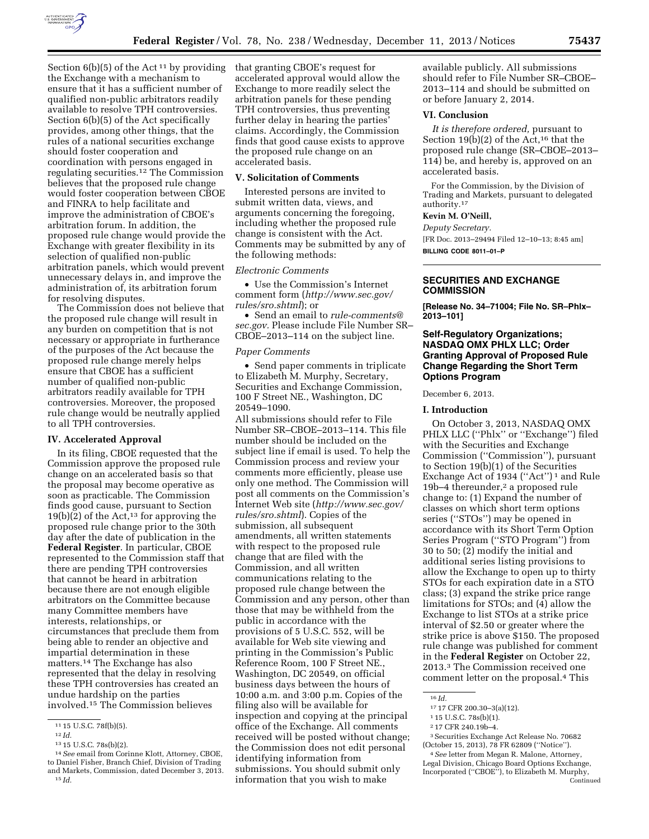

Section  $6(b)(5)$  of the Act<sup>11</sup> by providing the Exchange with a mechanism to ensure that it has a sufficient number of qualified non-public arbitrators readily available to resolve TPH controversies. Section 6(b)(5) of the Act specifically provides, among other things, that the rules of a national securities exchange should foster cooperation and coordination with persons engaged in regulating securities.12 The Commission believes that the proposed rule change would foster cooperation between CBOE and FINRA to help facilitate and improve the administration of CBOE's arbitration forum. In addition, the proposed rule change would provide the Exchange with greater flexibility in its selection of qualified non-public arbitration panels, which would prevent unnecessary delays in, and improve the administration of, its arbitration forum for resolving disputes.

The Commission does not believe that the proposed rule change will result in any burden on competition that is not necessary or appropriate in furtherance of the purposes of the Act because the proposed rule change merely helps ensure that CBOE has a sufficient number of qualified non-public arbitrators readily available for TPH controversies. Moreover, the proposed rule change would be neutrally applied to all TPH controversies.

### **IV. Accelerated Approval**

In its filing, CBOE requested that the Commission approve the proposed rule change on an accelerated basis so that the proposal may become operative as soon as practicable. The Commission finds good cause, pursuant to Section  $19(b)(2)$  of the Act,<sup>13</sup> for approving the proposed rule change prior to the 30th day after the date of publication in the **Federal Register**. In particular, CBOE represented to the Commission staff that there are pending TPH controversies that cannot be heard in arbitration because there are not enough eligible arbitrators on the Committee because many Committee members have interests, relationships, or circumstances that preclude them from being able to render an objective and impartial determination in these matters.14 The Exchange has also represented that the delay in resolving these TPH controversies has created an undue hardship on the parties involved.15 The Commission believes

that granting CBOE's request for accelerated approval would allow the Exchange to more readily select the arbitration panels for these pending TPH controversies, thus preventing further delay in hearing the parties' claims. Accordingly, the Commission finds that good cause exists to approve the proposed rule change on an accelerated basis.

### **V. Solicitation of Comments**

Interested persons are invited to submit written data, views, and arguments concerning the foregoing, including whether the proposed rule change is consistent with the Act. Comments may be submitted by any of the following methods:

### *Electronic Comments*

• Use the Commission's Internet comment form (*[http://www.sec.gov/](http://www.sec.gov/rules/sro.shtml) [rules/sro.shtml](http://www.sec.gov/rules/sro.shtml)*); or

• Send an email to *[rule-comments@](mailto:rule-comments@sec.gov) [sec.gov.](mailto:rule-comments@sec.gov)* Please include File Number SR– CBOE–2013–114 on the subject line.

### *Paper Comments*

• Send paper comments in triplicate to Elizabeth M. Murphy, Secretary, Securities and Exchange Commission, 100 F Street NE., Washington, DC 20549–1090.

All submissions should refer to File Number SR–CBOE–2013–114. This file number should be included on the subject line if email is used. To help the Commission process and review your comments more efficiently, please use only one method. The Commission will post all comments on the Commission's Internet Web site (*[http://www.sec.gov/](http://www.sec.gov/rules/sro.shtml) [rules/sro.shtml](http://www.sec.gov/rules/sro.shtml)*). Copies of the submission, all subsequent amendments, all written statements with respect to the proposed rule change that are filed with the Commission, and all written communications relating to the proposed rule change between the Commission and any person, other than those that may be withheld from the public in accordance with the provisions of 5 U.S.C. 552, will be available for Web site viewing and printing in the Commission's Public Reference Room, 100 F Street NE., Washington, DC 20549, on official business days between the hours of 10:00 a.m. and 3:00 p.m. Copies of the filing also will be available for inspection and copying at the principal office of the Exchange. All comments received will be posted without change; the Commission does not edit personal identifying information from submissions. You should submit only information that you wish to make

available publicly. All submissions should refer to File Number SR–CBOE– 2013–114 and should be submitted on or before January 2, 2014.

# **VI. Conclusion**

*It is therefore ordered,* pursuant to Section  $19(b)(2)$  of the Act,<sup>16</sup> that the proposed rule change (SR–CBOE–2013– 114) be, and hereby is, approved on an accelerated basis.

For the Commission, by the Division of Trading and Markets, pursuant to delegated authority.17

# **Kevin M. O'Neill,**

*Deputy Secretary.* 

[FR Doc. 2013–29494 Filed 12–10–13; 8:45 am] **BILLING CODE 8011–01–P** 

## **SECURITIES AND EXCHANGE COMMISSION**

**[Release No. 34–71004; File No. SR–Phlx– 2013–101]** 

# **Self-Regulatory Organizations; NASDAQ OMX PHLX LLC; Order Granting Approval of Proposed Rule Change Regarding the Short Term Options Program**

December 6, 2013.

#### **I. Introduction**

On October 3, 2013, NASDAQ OMX PHLX LLC (''Phlx'' or ''Exchange'') filed with the Securities and Exchange Commission (''Commission''), pursuant to Section 19(b)(1) of the Securities Exchange Act of 1934 ("Act")<sup>1</sup> and Rule 19b-4 thereunder,<sup>2</sup> a proposed rule change to: (1) Expand the number of classes on which short term options series (''STOs'') may be opened in accordance with its Short Term Option Series Program (''STO Program'') from 30 to 50; (2) modify the initial and additional series listing provisions to allow the Exchange to open up to thirty STOs for each expiration date in a STO class; (3) expand the strike price range limitations for STOs; and (4) allow the Exchange to list STOs at a strike price interval of \$2.50 or greater where the strike price is above \$150. The proposed rule change was published for comment in the **Federal Register** on October 22, 2013.3 The Commission received one comment letter on the proposal.4 This

3Securities Exchange Act Release No. 70682 (October 15, 2013), 78 FR 62809 (''Notice'').

<sup>11 15</sup> U.S.C. 78f(b)(5).<br><sup>12</sup> *Id.* <sup>13</sup> 15 U.S.C. 78s(b)(2).

<sup>&</sup>lt;sup>14</sup> See email from Corinne Klott, Attorney, CBOE, to Daniel Fisher, Branch Chief, Division of Trading and Markets, Commission, dated December 3, 2013. 15 *Id.* 

<sup>16</sup> *Id.* 

<sup>17</sup> 17 CFR 200.30–3(a)(12).

<sup>1</sup> 15 U.S.C. 78s(b)(1).

<sup>2</sup> 17 CFR 240.19b–4.

<sup>4</sup>*See* letter from Megan R. Malone, Attorney, Legal Division, Chicago Board Options Exchange, Incorporated (''CBOE''), to Elizabeth M. Murphy, Continued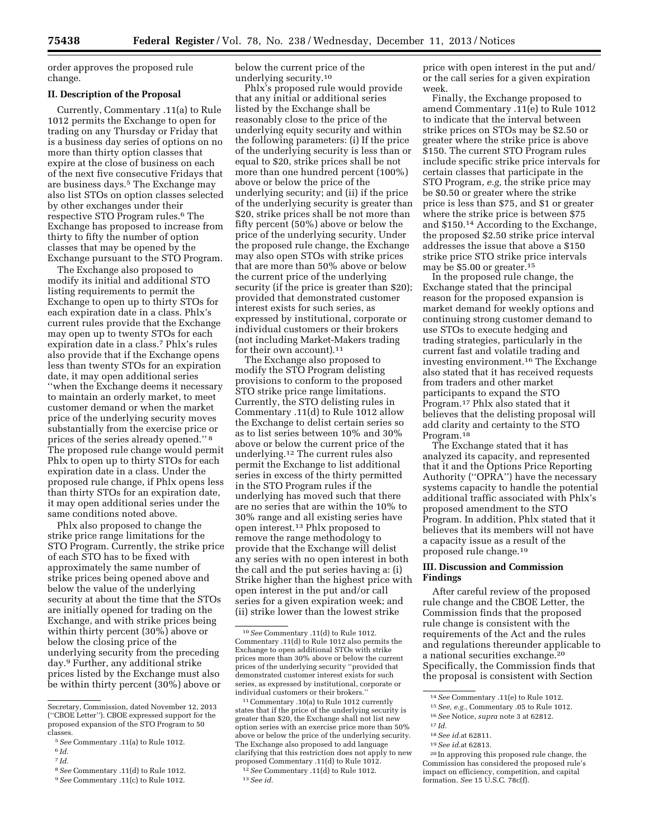order approves the proposed rule change.

### **II. Description of the Proposal**

Currently, Commentary .11(a) to Rule 1012 permits the Exchange to open for trading on any Thursday or Friday that is a business day series of options on no more than thirty option classes that expire at the close of business on each of the next five consecutive Fridays that are business days.5 The Exchange may also list STOs on option classes selected by other exchanges under their respective STO Program rules.6 The Exchange has proposed to increase from thirty to fifty the number of option classes that may be opened by the Exchange pursuant to the STO Program.

The Exchange also proposed to modify its initial and additional STO listing requirements to permit the Exchange to open up to thirty STOs for each expiration date in a class. Phlx's current rules provide that the Exchange may open up to twenty STOs for each expiration date in a class.7 Phlx's rules also provide that if the Exchange opens less than twenty STOs for an expiration date, it may open additional series ''when the Exchange deems it necessary to maintain an orderly market, to meet customer demand or when the market price of the underlying security moves substantially from the exercise price or prices of the series already opened.'' 8 The proposed rule change would permit Phlx to open up to thirty STOs for each expiration date in a class. Under the proposed rule change, if Phlx opens less than thirty STOs for an expiration date, it may open additional series under the same conditions noted above.

Phlx also proposed to change the strike price range limitations for the STO Program. Currently, the strike price of each STO has to be fixed with approximately the same number of strike prices being opened above and below the value of the underlying security at about the time that the STOs are initially opened for trading on the Exchange, and with strike prices being within thirty percent (30%) above or below the closing price of the underlying security from the preceding day.9 Further, any additional strike prices listed by the Exchange must also be within thirty percent (30%) above or

7 *Id.* 

below the current price of the underlying security.10

Phlx's proposed rule would provide that any initial or additional series listed by the Exchange shall be reasonably close to the price of the underlying equity security and within the following parameters: (i) If the price of the underlying security is less than or equal to \$20, strike prices shall be not more than one hundred percent (100%) above or below the price of the underlying security; and (ii) if the price of the underlying security is greater than \$20, strike prices shall be not more than fifty percent (50%) above or below the price of the underlying security. Under the proposed rule change, the Exchange may also open STOs with strike prices that are more than 50% above or below the current price of the underlying security (if the price is greater than \$20); provided that demonstrated customer interest exists for such series, as expressed by institutional, corporate or individual customers or their brokers (not including Market-Makers trading for their own account).<sup>11</sup>

The Exchange also proposed to modify the STO Program delisting provisions to conform to the proposed STO strike price range limitations. Currently, the STO delisting rules in Commentary .11(d) to Rule 1012 allow the Exchange to delist certain series so as to list series between 10% and 30% above or below the current price of the underlying.12 The current rules also permit the Exchange to list additional series in excess of the thirty permitted in the STO Program rules if the underlying has moved such that there are no series that are within the 10% to 30% range and all existing series have open interest.13 Phlx proposed to remove the range methodology to provide that the Exchange will delist any series with no open interest in both the call and the put series having a: (i) Strike higher than the highest price with open interest in the put and/or call series for a given expiration week; and (ii) strike lower than the lowest strike

11Commentary .10(a) to Rule 1012 currently states that if the price of the underlying security is greater than \$20, the Exchange shall not list new option series with an exercise price more than 50% above or below the price of the underlying security. The Exchange also proposed to add language clarifying that this restriction does not apply to new proposed Commentary .11(d) to Rule 1012.

12*See* Commentary .11(d) to Rule 1012. 13*See id.* 

price with open interest in the put and/ or the call series for a given expiration week.

Finally, the Exchange proposed to amend Commentary .11(e) to Rule 1012 to indicate that the interval between strike prices on STOs may be \$2.50 or greater where the strike price is above \$150. The current STO Program rules include specific strike price intervals for certain classes that participate in the STO Program, *e.g,* the strike price may be \$0.50 or greater where the strike price is less than \$75, and \$1 or greater where the strike price is between \$75 and \$150.14 According to the Exchange, the proposed \$2.50 strike price interval addresses the issue that above a \$150 strike price STO strike price intervals may be \$5.00 or greater.15

In the proposed rule change, the Exchange stated that the principal reason for the proposed expansion is market demand for weekly options and continuing strong customer demand to use STOs to execute hedging and trading strategies, particularly in the current fast and volatile trading and investing environment.16 The Exchange also stated that it has received requests from traders and other market participants to expand the STO Program.17 Phlx also stated that it believes that the delisting proposal will add clarity and certainty to the STO Program.18

The Exchange stated that it has analyzed its capacity, and represented that it and the Options Price Reporting Authority (''OPRA'') have the necessary systems capacity to handle the potential additional traffic associated with Phlx's proposed amendment to the STO Program. In addition, Phlx stated that it believes that its members will not have a capacity issue as a result of the proposed rule change.19

# **III. Discussion and Commission Findings**

After careful review of the proposed rule change and the CBOE Letter, the Commission finds that the proposed rule change is consistent with the requirements of the Act and the rules and regulations thereunder applicable to a national securities exchange.20 Specifically, the Commission finds that the proposal is consistent with Section

18*See id.*at 62811.

Secretary, Commission, dated November 12, 2013 (''CBOE Letter''). CBOE expressed support for the proposed expansion of the STO Program to 50 classes.

<sup>5</sup>*See* Commentary .11(a) to Rule 1012.

<sup>6</sup> *Id.* 

<sup>8</sup>*See* Commentary .11(d) to Rule 1012.

<sup>9</sup>*See* Commentary .11(c) to Rule 1012.

<sup>10</sup>*See* Commentary .11(d) to Rule 1012. Commentary .11(d) to Rule 1012 also permits the Exchange to open additional STOs with strike prices more than 30% above or below the current prices of the underlying security ''provided that demonstrated customer interest exists for such series, as expressed by institutional, corporate or individual customers or their brokers.''

<sup>14</sup>*See* Commentary .11(e) to Rule 1012.

<sup>15</sup>*See, e.g.,* Commentary .05 to Rule 1012.

<sup>16</sup>*See* Notice, *supra* note 3 at 62812.

<sup>17</sup> *Id.* 

<sup>19</sup>*See id.*at 62813.

<sup>20</sup> In approving this proposed rule change, the Commission has considered the proposed rule's impact on efficiency, competition, and capital formation. *See* 15 U.S.C. 78c(f).